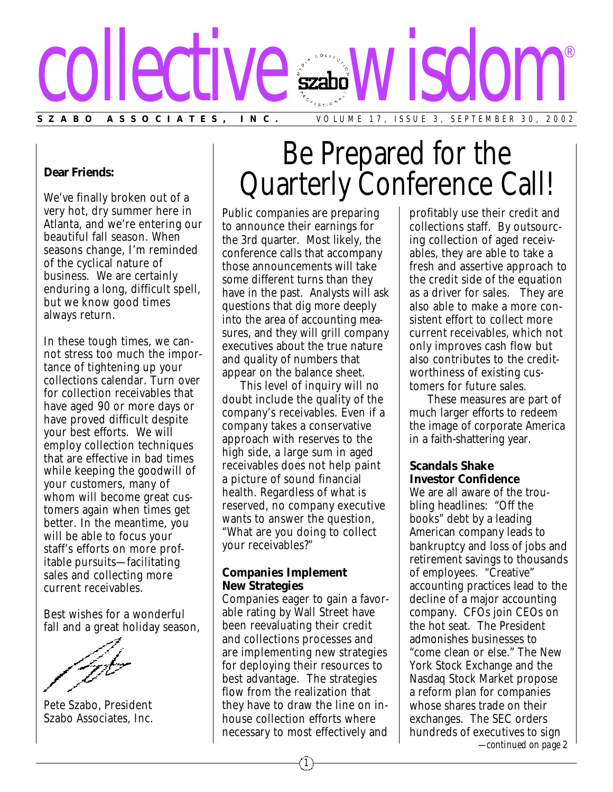

### **Dear Friends:**

We've finally broken out of a very hot, dry summer here in Atlanta, and we're entering our beautiful fall season. When seasons change, I'm reminded of the cyclical nature of business. We are certainly enduring a long, difficult spell, but we know good times always return.

In these tough times, we cannot stress too much the importance of tightening up your collections calendar. Turn over for collection receivables that have aged 90 or more days or have proved difficult despite your best efforts. We will employ collection techniques that are effective in bad times while keeping the goodwill of your customers, many of whom will become great customers again when times get better. In the meantime, you will be able to focus your staff's efforts on more profitable pursuits—facilitating sales and collecting more current receivables.

Best wishes for a wonderful fall and a great holiday season,

Pete Szabo, President Szabo Associates, Inc.

# Be Prepared for the Quarterly Conference Call!

Public companies are preparing to announce their earnings for the 3rd quarter. Most likely, the conference calls that accompany those announcements will take some different turns than they have in the past. Analysts will ask questions that dig more deeply into the area of accounting measures, and they will grill company executives about the true nature and quality of numbers that appear on the balance sheet.

This level of inquiry will no doubt include the quality of the company's receivables. Even if a company takes a conservative approach with reserves to the high side, a large sum in aged receivables does not help paint a picture of sound financial health. Regardless of what is reserved, no company executive wants to answer the question, "What are you doing to collect your receivables?"

#### **Companies Implement New Strategies**

Companies eager to gain a favorable rating by Wall Street have been reevaluating their credit and collections processes and are implementing new strategies for deploying their resources to best advantage. The strategies flow from the realization that they have to draw the line on inhouse collection efforts where necessary to most effectively and

profitably use their credit and collections staff. By outsourcing collection of aged receivables, they are able to take a fresh and assertive approach to the credit side of the equation as a driver for sales. They are also able to make a more consistent effort to collect more current receivables, which not only improves cash flow but also contributes to the creditworthiness of existing customers for future sales.

These measures are part of much larger efforts to redeem the image of corporate America in a faith-shattering year.

## **Scandals Shake Investor Confidence**

We are all aware of the troubling headlines: "Off the books" debt by a leading American company leads to bankruptcy and loss of jobs and retirement savings to thousands of employees. "Creative" accounting practices lead to the decline of a major accounting company. CFOs join CEOs on the hot seat. The President admonishes businesses to "come clean or else." The New York Stock Exchange and the Nasdaq Stock Market propose a reform plan for companies whose shares trade on their exchanges. The SEC orders hundreds of executives to sign

*—continued on page 2*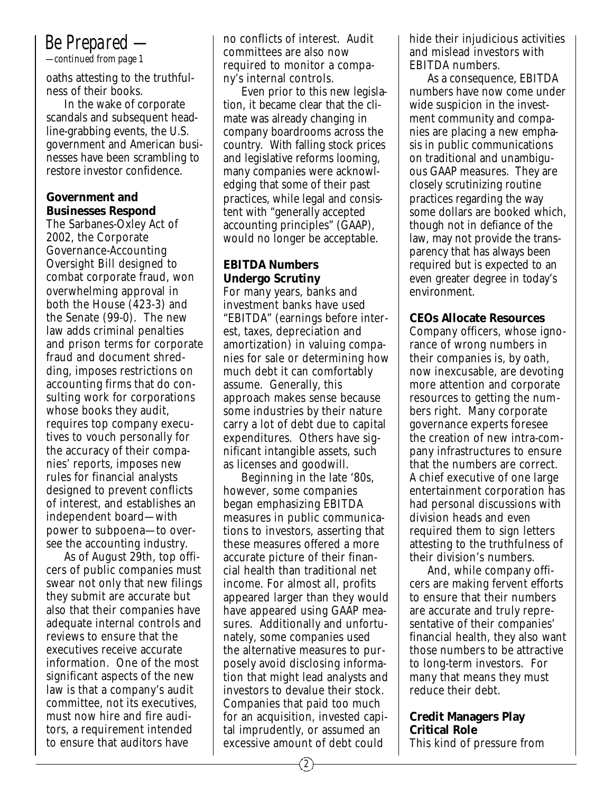# *Be Prepared —*

*—continued from page 1*

oaths attesting to the truthfulness of their books.

In the wake of corporate scandals and subsequent headline-grabbing events, the U.S. government and American businesses have been scrambling to restore investor confidence.

## **Government and Businesses Respond**

The Sarbanes-Oxley Act of 2002, the Corporate Governance-Accounting Oversight Bill designed to combat corporate fraud, won overwhelming approval in both the House (423-3) and the Senate (99-0). The new law adds criminal penalties and prison terms for corporate fraud and document shredding, imposes restrictions on accounting firms that do consulting work for corporations whose books they audit, requires top company executives to vouch personally for the accuracy of their companies' reports, imposes new rules for financial analysts designed to prevent conflicts of interest, and establishes an independent board—with power to subpoena—to oversee the accounting industry.

As of August 29th, top officers of public companies must swear not only that new filings they submit are accurate but also that their companies have adequate internal controls and reviews to ensure that the executives receive accurate information. One of the most significant aspects of the new law is that a company's audit committee, not its executives, must now hire and fire auditors, a requirement intended to ensure that auditors have

no conflicts of interest. Audit committees are also now required to monitor a company's internal controls.

Even prior to this new legislation, it became clear that the climate was already changing in company boardrooms across the country. With falling stock prices and legislative reforms looming, many companies were acknowledging that some of their past practices, while legal and consistent with "generally accepted accounting principles" (GAAP), would no longer be acceptable.

# **EBITDA Numbers Undergo Scrutiny**

For many years, banks and investment banks have used "EBITDA" (earnings before interest, taxes, depreciation and amortization) in valuing companies for sale or determining how much debt it can comfortably assume. Generally, this approach makes sense because some industries by their nature carry a lot of debt due to capital expenditures. Others have significant intangible assets, such as licenses and goodwill.

Beginning in the late '80s, however, some companies began emphasizing EBITDA measures in public communications to investors, asserting that these measures offered a more accurate picture of their financial health than traditional net income. For almost all, profits appeared larger than they would have appeared using GAAP measures. Additionally and unfortunately, some companies used the alternative measures to purposely avoid disclosing information that might lead analysts and investors to devalue their stock. Companies that paid too much for an acquisition, invested capital imprudently, or assumed an excessive amount of debt could

hide their injudicious activities and mislead investors with EBITDA numbers.

As a consequence, EBITDA numbers have now come under wide suspicion in the investment community and companies are placing a new emphasis in public communications on traditional and unambiguous GAAP measures. They are closely scrutinizing routine practices regarding the way some dollars are booked which, though not in defiance of the law, may not provide the transparency that has always been required but is expected to an even greater degree in today's environment.

## **CEOs Allocate Resources**

Company officers, whose ignorance of wrong numbers in their companies is, by oath, now inexcusable, are devoting more attention and corporate resources to getting the numbers right. Many corporate governance experts foresee the creation of new intra-company infrastructures to ensure that the numbers are correct. A chief executive of one large entertainment corporation has had personal discussions with division heads and even required them to sign letters attesting to the truthfulness of their division's numbers.

And, while company officers are making fervent efforts to ensure that their numbers are accurate and truly representative of their companies' financial health, they also want those numbers to be attractive to long-term investors. For many that means they must reduce their debt.

### **Credit Managers Play Critical Role** This kind of pressure from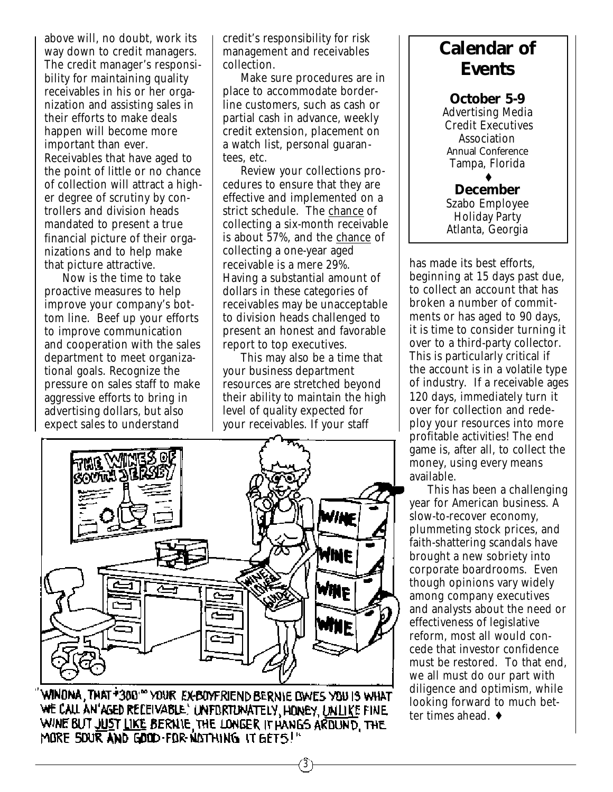above will, no doubt, work its way down to credit managers. The credit manager's responsibility for maintaining quality receivables in his or her organization and assisting sales in their efforts to make deals happen will become more important than ever. Receivables that have aged to the point of little or no chance of collection will attract a higher degree of scrutiny by controllers and division heads mandated to present a true financial picture of their organizations and to help make that picture attractive.

Now is the time to take proactive measures to help improve your company's bottom line. Beef up your efforts to improve communication and cooperation with the sales department to meet organizational goals. Recognize the pressure on sales staff to make aggressive efforts to bring in advertising dollars, but also expect sales to understand

credit's responsibility for risk management and receivables collection.

Make sure procedures are in place to accommodate borderline customers, such as cash or partial cash in advance, weekly credit extension, placement on a watch list, personal guarantees, etc.

Review your collections procedures to ensure that they are effective and implemented on a strict schedule. The chance of collecting a six-month receivable is about 57%, and the chance of collecting a one-year aged receivable is a mere 29%. Having a substantial amount of dollars in these categories of receivables may be unacceptable to division heads challenged to present an honest and favorable report to top executives.

This may also be a time that your business department resources are stretched beyond their ability to maintain the high level of quality expected for your receivables. If your staff



WINDNA, THAT +380<sup>100</sup> YOUR EX-BOYFRIEND BERNIE OWES YOU IS WHAT WE CALL AN'AGED RECEIVABLE.' UNFIRTUNATELY, HONEY, UNLIKE FINE WINE BUT JUST LIKE BERNIE, THE LONGER IT HANGS ARDUND, THE MORE SOUR AND GOOD-FOR NOTHING IT GETS!"

# **Calendar of Events**

**October 5-9** Advertising Media Credit Executives Association Annual Conference Tampa, Florida ♦

**December** Szabo Employee Holiday Party Atlanta, Georgia

has made its best efforts, beginning at 15 days past due, to collect an account that has broken a number of commitments or has aged to 90 days, it is time to consider turning it over to a third-party collector. This is particularly critical if the account is in a volatile type of industry. If a receivable ages 120 days, immediately turn it over for collection and redeploy your resources into more profitable activities! The end game is, after all, to collect the money, using every means available.

This has been a challenging year for American business. A slow-to-recover economy, plummeting stock prices, and faith-shattering scandals have brought a new sobriety into corporate boardrooms. Even though opinions vary widely among company executives and analysts about the need or effectiveness of legislative reform, most all would concede that investor confidence must be restored. To that end, we all must do our part with diligence and optimism, while looking forward to much better times ahead. ♦